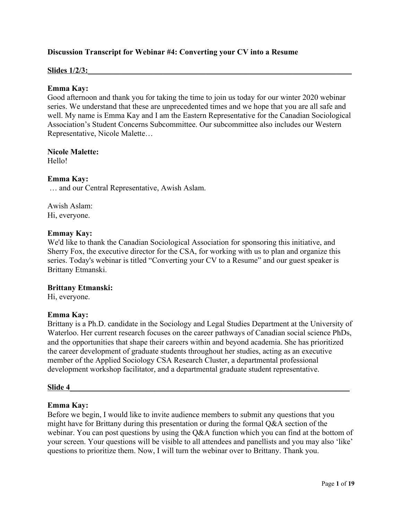## **Discussion Transcript for Webinar #4: Converting your CV into a Resume**

### Slides  $1/2/3$ :

### **Emma Kay:**

Good afternoon and thank you for taking the time to join us today for our winter 2020 webinar series. We understand that these are unprecedented times and we hope that you are all safe and well. My name is Emma Kay and I am the Eastern Representative for the Canadian Sociological Association's Student Concerns Subcommittee. Our subcommittee also includes our Western Representative, Nicole Malette…

#### **Nicole Malette:**

Hello!

### **Emma Kay:**

… and our Central Representative, Awish Aslam.

Awish Aslam: Hi, everyone.

### **Emmay Kay:**

We'd like to thank the Canadian Sociological Association for sponsoring this initiative, and Sherry Fox, the executive director for the CSA, for working with us to plan and organize this series. Today's webinar is titled "Converting your CV to a Resume" and our guest speaker is Brittany Etmanski.

#### **Brittany Etmanski:**

Hi, everyone.

## **Emma Kay:**

Brittany is a Ph.D. candidate in the Sociology and Legal Studies Department at the University of Waterloo. Her current research focuses on the career pathways of Canadian social science PhDs, and the opportunities that shape their careers within and beyond academia. She has prioritized the career development of graduate students throughout her studies, acting as an executive member of the Applied Sociology CSA Research Cluster, a departmental professional development workshop facilitator, and a departmental graduate student representative.

#### **Slide 4**\_\_\_\_\_\_\_\_\_\_\_\_\_\_\_\_\_\_\_\_\_\_\_\_\_\_\_\_\_\_\_\_\_\_\_\_\_\_\_\_\_\_\_\_\_\_\_\_\_\_\_\_\_\_\_\_\_\_\_\_\_\_\_\_\_\_\_\_\_\_\_

## **Emma Kay:**

Before we begin, I would like to invite audience members to submit any questions that you might have for Brittany during this presentation or during the formal Q&A section of the webinar. You can post questions by using the Q&A function which you can find at the bottom of your screen. Your questions will be visible to all attendees and panellists and you may also 'like' questions to prioritize them. Now, I will turn the webinar over to Brittany. Thank you.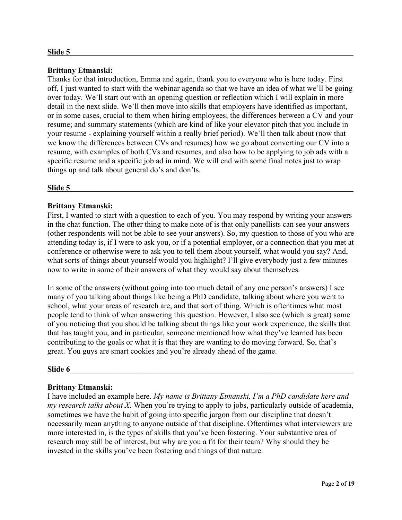## **Brittany Etmanski:**

Thanks for that introduction, Emma and again, thank you to everyone who is here today. First off, I just wanted to start with the webinar agenda so that we have an idea of what we'll be going over today. We'll start out with an opening question or reflection which I will explain in more detail in the next slide. We'll then move into skills that employers have identified as important, or in some cases, crucial to them when hiring employees; the differences between a CV and your resume; and summary statements (which are kind of like your elevator pitch that you include in your resume - explaining yourself within a really brief period). We'll then talk about (now that we know the differences between CVs and resumes) how we go about converting our CV into a resume, with examples of both CVs and resumes, and also how to be applying to job ads with a specific resume and a specific job ad in mind. We will end with some final notes just to wrap things up and talk about general do's and don'ts.

## **Slide 5**\_\_\_\_\_\_\_\_\_\_\_\_\_\_\_\_\_\_\_\_\_\_\_\_\_\_\_\_\_\_\_\_\_\_\_\_\_\_\_\_\_\_\_\_\_\_\_\_\_\_\_\_\_\_\_\_\_\_\_\_\_\_\_\_\_\_\_\_\_\_\_\_

## **Brittany Etmanski:**

First, I wanted to start with a question to each of you. You may respond by writing your answers in the chat function. The other thing to make note of is that only panellists can see your answers (other respondents will not be able to see your answers). So, my question to those of you who are attending today is, if I were to ask you, or if a potential employer, or a connection that you met at conference or otherwise were to ask you to tell them about yourself, what would you say? And, what sorts of things about yourself would you highlight? I'll give everybody just a few minutes now to write in some of their answers of what they would say about themselves.

In some of the answers (without going into too much detail of any one person's answers) I see many of you talking about things like being a PhD candidate, talking about where you went to school, what your areas of research are, and that sort of thing. Which is oftentimes what most people tend to think of when answering this question. However, I also see (which is great) some of you noticing that you should be talking about things like your work experience, the skills that that has taught you, and in particular, someone mentioned how what they've learned has been contributing to the goals or what it is that they are wanting to do moving forward. So, that's great. You guys are smart cookies and you're already ahead of the game.

### **Slide 6**\_\_\_\_\_\_\_\_\_\_\_\_\_\_\_\_\_\_\_\_\_\_\_\_\_\_\_\_\_\_\_\_\_\_\_\_\_\_\_\_\_\_\_\_\_\_\_\_\_\_\_\_\_\_\_\_\_\_\_\_\_\_\_\_\_\_\_\_\_\_\_\_

## **Brittany Etmanski:**

I have included an example here. *My name is Brittany Etmanski, I'm a PhD candidate here and my research talks about X*. When you're trying to apply to jobs, particularly outside of academia, sometimes we have the habit of going into specific jargon from our discipline that doesn't necessarily mean anything to anyone outside of that discipline. Oftentimes what interviewers are more interested in, is the types of skills that you've been fostering. Your substantive area of research may still be of interest, but why are you a fit for their team? Why should they be invested in the skills you've been fostering and things of that nature.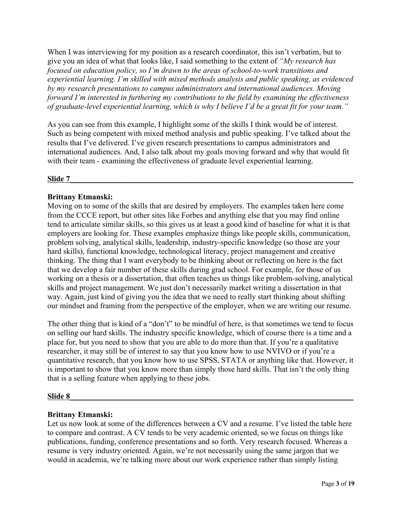When I was interviewing for my position as a research coordinator, this isn't verbatim, but to give you an idea of what that looks like, I said something to the extent of *"My research has focused on education policy, so I'm drawn to the areas of school-to-work transitions and experiential learning. I'm skilled with mixed methods analysis and public speaking, as evidenced by my research presentations to campus administrators and international audiences. Moving forward I'm interested in furthering my contributions to the field by examining the effectiveness of graduate-level experiential learning, which is why I believe I'd be a great fit for your team."*

As you can see from this example, I highlight some of the skills I think would be of interest. Such as being competent with mixed method analysis and public speaking. I've talked about the results that I've delivered. I've given research presentations to campus administrators and international audiences. And, I also talk about my goals moving forward and why that would fit with their team - examining the effectiveness of graduate level experiential learning.

## **Slide 7\_**\_\_\_\_\_\_\_\_\_\_\_\_\_\_\_\_\_\_\_\_\_\_\_\_\_\_\_\_\_\_\_\_\_\_\_\_\_\_\_\_\_\_\_\_\_\_\_\_\_\_\_\_\_\_\_\_\_\_\_\_\_\_\_\_\_\_\_\_\_\_\_

## **Brittany Etmanski:**

Moving on to some of the skills that are desired by employers. The examples taken here come from the CCCE report, but other sites like Forbes and anything else that you may find online tend to articulate similar skills, so this gives us at least a good kind of baseline for what it is that employers are looking for. These examples emphasize things like people skills, communication, problem solving, analytical skills, leadership, industry-specific knowledge (so those are your hard skills), functional knowledge, technological literacy, project management and creative thinking. The thing that I want everybody to be thinking about or reflecting on here is the fact that we develop a fair number of these skills during grad school. For example, for those of us working on a thesis or a dissertation, that often teaches us things like problem-solving, analytical skills and project management. We just don't necessarily market writing a dissertation in that way. Again, just kind of giving you the idea that we need to really start thinking about shifting our mindset and framing from the perspective of the employer, when we are writing our resume.

The other thing that is kind of a "don't" to be mindful of here, is that sometimes we tend to focus on selling our hard skills. The industry specific knowledge, which of course there is a time and a place for, but you need to show that you are able to do more than that. If you're a qualitative researcher, it may still be of interest to say that you know how to use NVIVO or if you're a quantitative research, that you know how to use SPSS, STATA or anything like that. However, it is important to show that you know more than simply those hard skills. That isn't the only thing that is a selling feature when applying to these jobs.

## **Slide 8**\_\_\_\_\_\_\_\_\_\_\_\_\_\_\_\_\_\_\_\_\_\_\_\_\_\_\_\_\_\_\_\_\_\_\_\_\_\_\_\_\_\_\_\_\_\_\_\_\_\_\_\_\_\_\_\_\_\_\_\_\_\_\_\_\_\_\_\_\_\_\_\_

## **Brittany Etmanski:**

Let us now look at some of the differences between a CV and a resume. I've listed the table here to compare and contrast. A CV tends to be very academic oriented, so we focus on things like publications, funding, conference presentations and so forth. Very research focused. Whereas a resume is very industry oriented. Again, we're not necessarily using the same jargon that we would in academia, we're talking more about our work experience rather than simply listing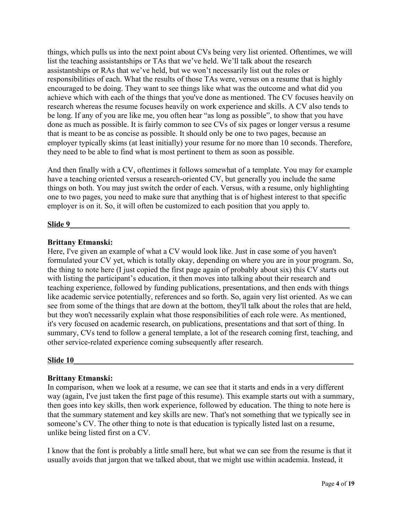things, which pulls us into the next point about CVs being very list oriented. Oftentimes, we will list the teaching assistantships or TAs that we've held. We'll talk about the research assistantships or RAs that we've held, but we won't necessarily list out the roles or responsibilities of each. What the results of those TAs were, versus on a resume that is highly encouraged to be doing. They want to see things like what was the outcome and what did you achieve which with each of the things that you've done as mentioned. The CV focuses heavily on research whereas the resume focuses heavily on work experience and skills. A CV also tends to be long. If any of you are like me, you often hear "as long as possible", to show that you have done as much as possible. It is fairly common to see CVs of six pages or longer versus a resume that is meant to be as concise as possible. It should only be one to two pages, because an employer typically skims (at least initially) your resume for no more than 10 seconds. Therefore, they need to be able to find what is most pertinent to them as soon as possible.

And then finally with a CV, oftentimes it follows somewhat of a template. You may for example have a teaching oriented versus a research-oriented CV, but generally you include the same things on both. You may just switch the order of each. Versus, with a resume, only highlighting one to two pages, you need to make sure that anything that is of highest interest to that specific employer is on it. So, it will often be customized to each position that you apply to.

# **Slide 9**\_\_\_\_\_\_\_\_\_\_\_\_\_\_\_\_\_\_\_\_\_\_\_\_\_\_\_\_\_\_\_\_\_\_\_\_\_\_\_\_\_\_\_\_\_\_\_\_\_\_\_\_\_\_\_\_\_\_\_\_\_\_\_\_\_\_\_\_\_\_\_

## **Brittany Etmanski:**

Here, I've given an example of what a CV would look like. Just in case some of you haven't formulated your CV yet, which is totally okay, depending on where you are in your program. So, the thing to note here (I just copied the first page again of probably about six) this CV starts out with listing the participant's education, it then moves into talking about their research and teaching experience, followed by funding publications, presentations, and then ends with things like academic service potentially, references and so forth. So, again very list oriented. As we can see from some of the things that are down at the bottom, they'll talk about the roles that are held, but they won't necessarily explain what those responsibilities of each role were. As mentioned, it's very focused on academic research, on publications, presentations and that sort of thing. In summary, CVs tend to follow a general template, a lot of the research coming first, teaching, and other service-related experience coming subsequently after research.

## **Slide 10**\_\_\_\_\_\_\_\_\_\_\_\_\_\_\_\_\_\_\_\_\_\_\_\_\_\_\_\_\_\_\_\_\_\_\_\_\_\_\_\_\_\_\_\_\_\_\_\_\_\_\_\_\_\_\_\_\_\_\_\_\_\_\_\_\_\_\_\_\_\_\_

## **Brittany Etmanski:**

In comparison, when we look at a resume, we can see that it starts and ends in a very different way (again, I've just taken the first page of this resume). This example starts out with a summary, then goes into key skills, then work experience, followed by education. The thing to note here is that the summary statement and key skills are new. That's not something that we typically see in someone's CV. The other thing to note is that education is typically listed last on a resume, unlike being listed first on a CV.

I know that the font is probably a little small here, but what we can see from the resume is that it usually avoids that jargon that we talked about, that we might use within academia. Instead, it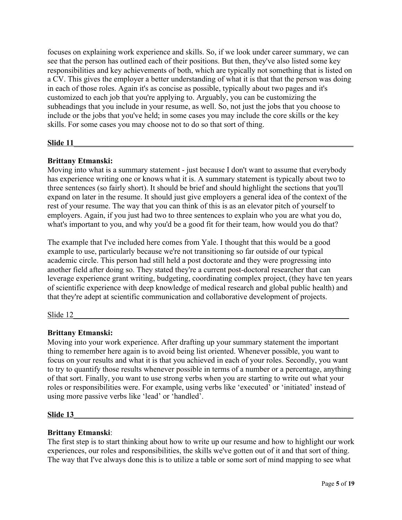focuses on explaining work experience and skills. So, if we look under career summary, we can see that the person has outlined each of their positions. But then, they've also listed some key responsibilities and key achievements of both, which are typically not something that is listed on a CV. This gives the employer a better understanding of what it is that that the person was doing in each of those roles. Again it's as concise as possible, typically about two pages and it's customized to each job that you're applying to. Arguably, you can be customizing the subheadings that you include in your resume, as well. So, not just the jobs that you choose to include or the jobs that you've held; in some cases you may include the core skills or the key skills. For some cases you may choose not to do so that sort of thing.

## **Slide 11**\_\_\_\_\_\_\_\_\_\_\_\_\_\_\_\_\_\_\_\_\_\_\_\_\_\_\_\_\_\_\_\_\_\_\_\_\_\_\_\_\_\_\_\_\_\_\_\_\_\_\_\_\_\_\_\_\_\_\_\_\_\_\_\_\_\_\_\_\_\_\_

## **Brittany Etmanski:**

Moving into what is a summary statement - just because I don't want to assume that everybody has experience writing one or knows what it is. A summary statement is typically about two to three sentences (so fairly short). It should be brief and should highlight the sections that you'll expand on later in the resume. It should just give employers a general idea of the context of the rest of your resume. The way that you can think of this is as an elevator pitch of yourself to employers. Again, if you just had two to three sentences to explain who you are what you do, what's important to you, and why you'd be a good fit for their team, how would you do that?

The example that I've included here comes from Yale. I thought that this would be a good example to use, particularly because we're not transitioning so far outside of our typical academic circle. This person had still held a post doctorate and they were progressing into another field after doing so. They stated they're a current post-doctoral researcher that can leverage experience grant writing, budgeting, coordinating complex project, (they have ten years of scientific experience with deep knowledge of medical research and global public health) and that they're adept at scientific communication and collaborative development of projects.

 $S$ lide 12

## **Brittany Etmanski:**

Moving into your work experience. After drafting up your summary statement the important thing to remember here again is to avoid being list oriented. Whenever possible, you want to focus on your results and what it is that you achieved in each of your roles. Secondly, you want to try to quantify those results whenever possible in terms of a number or a percentage, anything of that sort. Finally, you want to use strong verbs when you are starting to write out what your roles or responsibilities were. For example, using verbs like 'executed' or 'initiated' instead of using more passive verbs like 'lead' or 'handled'.

## **Slide 13**\_\_\_\_\_\_\_\_\_\_\_\_\_\_\_\_\_\_\_\_\_\_\_\_\_\_\_\_\_\_\_\_\_\_\_\_\_\_\_\_\_\_\_\_\_\_\_\_\_\_\_\_\_\_\_\_\_\_\_\_\_\_\_\_\_\_\_\_\_\_\_

## **Brittany Etmanski**:

The first step is to start thinking about how to write up our resume and how to highlight our work experiences, our roles and responsibilities, the skills we've gotten out of it and that sort of thing. The way that I've always done this is to utilize a table or some sort of mind mapping to see what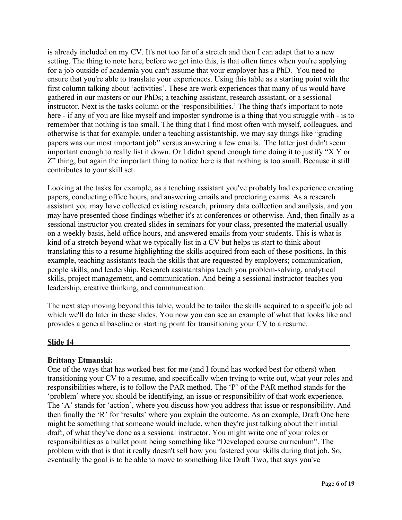is already included on my CV. It's not too far of a stretch and then I can adapt that to a new setting. The thing to note here, before we get into this, is that often times when you're applying for a job outside of academia you can't assume that your employer has a PhD. You need to ensure that you're able to translate your experiences. Using this table as a starting point with the first column talking about 'activities'. These are work experiences that many of us would have gathered in our masters or our PhDs; a teaching assistant, research assistant, or a sessional instructor. Next is the tasks column or the 'responsibilities.' The thing that's important to note here - if any of you are like myself and imposter syndrome is a thing that you struggle with - is to remember that nothing is too small. The thing that I find most often with myself, colleagues, and otherwise is that for example, under a teaching assistantship, we may say things like "grading papers was our most important job" versus answering a few emails. The latter just didn't seem important enough to really list it down. Or I didn't spend enough time doing it to justify "X Y or Z" thing, but again the important thing to notice here is that nothing is too small. Because it still contributes to your skill set.

Looking at the tasks for example, as a teaching assistant you've probably had experience creating papers, conducting office hours, and answering emails and proctoring exams. As a research assistant you may have collected existing research, primary data collection and analysis, and you may have presented those findings whether it's at conferences or otherwise. And, then finally as a sessional instructor you created slides in seminars for your class, presented the material usually on a weekly basis, held office hours, and answered emails from your students. This is what is kind of a stretch beyond what we typically list in a CV but helps us start to think about translating this to a resume highlighting the skills acquired from each of these positions. In this example, teaching assistants teach the skills that are requested by employers; communication, people skills, and leadership. Research assistantships teach you problem-solving, analytical skills, project management, and communication. And being a sessional instructor teaches you leadership, creative thinking, and communication.

The next step moving beyond this table, would be to tailor the skills acquired to a specific job ad which we'll do later in these slides. You now you can see an example of what that looks like and provides a general baseline or starting point for transitioning your CV to a resume.

## **Slide 14 Solution 14 Slide 14 Slide 14 Solution 14 Solution 14 Solution 14 Solution 14 Solution 14 Solution 14 Solution 14 Solution 14 Solution 14 Solution 14 Solution 1**

## **Brittany Etmanski:**

One of the ways that has worked best for me (and I found has worked best for others) when transitioning your CV to a resume, and specifically when trying to write out, what your roles and responsibilities where, is to follow the PAR method. The 'P' of the PAR method stands for the 'problem' where you should be identifying, an issue or responsibility of that work experience. The 'A' stands for 'action', where you discuss how you address that issue or responsibility. And then finally the 'R' for 'results' where you explain the outcome. As an example, Draft One here might be something that someone would include, when they're just talking about their initial draft, of what they've done as a sessional instructor. You might write one of your roles or responsibilities as a bullet point being something like "Developed course curriculum". The problem with that is that it really doesn't sell how you fostered your skills during that job. So, eventually the goal is to be able to move to something like Draft Two, that says you've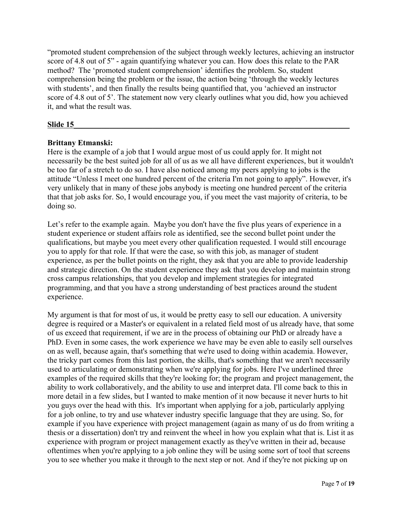"promoted student comprehension of the subject through weekly lectures, achieving an instructor score of 4.8 out of 5" - again quantifying whatever you can. How does this relate to the PAR method? The 'promoted student comprehension' identifies the problem. So, student comprehension being the problem or the issue, the action being 'through the weekly lectures with students', and then finally the results being quantified that, you 'achieved an instructor score of 4.8 out of 5'. The statement now very clearly outlines what you did, how you achieved it, and what the result was.

## **Slide 15**\_\_\_\_\_\_\_\_\_\_\_\_\_\_\_\_\_\_\_\_\_\_\_\_\_\_\_\_\_\_\_\_\_\_\_\_\_\_\_\_\_\_\_\_\_\_\_\_\_\_\_\_\_\_\_\_\_\_\_\_\_\_\_\_\_\_\_\_\_\_

# **Brittany Etmanski:**

Here is the example of a job that I would argue most of us could apply for. It might not necessarily be the best suited job for all of us as we all have different experiences, but it wouldn't be too far of a stretch to do so. I have also noticed among my peers applying to jobs is the attitude "Unless I meet one hundred percent of the criteria I'm not going to apply". However, it's very unlikely that in many of these jobs anybody is meeting one hundred percent of the criteria that that job asks for. So, I would encourage you, if you meet the vast majority of criteria, to be doing so.

Let's refer to the example again. Maybe you don't have the five plus years of experience in a student experience or student affairs role as identified, see the second bullet point under the qualifications, but maybe you meet every other qualification requested. I would still encourage you to apply for that role. If that were the case, so with this job, as manager of student experience, as per the bullet points on the right, they ask that you are able to provide leadership and strategic direction. On the student experience they ask that you develop and maintain strong cross campus relationships, that you develop and implement strategies for integrated programming, and that you have a strong understanding of best practices around the student experience.

My argument is that for most of us, it would be pretty easy to sell our education. A university degree is required or a Master's or equivalent in a related field most of us already have, that some of us exceed that requirement, if we are in the process of obtaining our PhD or already have a PhD. Even in some cases, the work experience we have may be even able to easily sell ourselves on as well, because again, that's something that we're used to doing within academia. However, the tricky part comes from this last portion, the skills, that's something that we aren't necessarily used to articulating or demonstrating when we're applying for jobs. Here I've underlined three examples of the required skills that they're looking for; the program and project management, the ability to work collaboratively, and the ability to use and interpret data. I'll come back to this in more detail in a few slides, but I wanted to make mention of it now because it never hurts to hit you guys over the head with this. It's important when applying for a job, particularly applying for a job online, to try and use whatever industry specific language that they are using. So, for example if you have experience with project management (again as many of us do from writing a thesis or a dissertation) don't try and reinvent the wheel in how you explain what that is. List it as experience with program or project management exactly as they've written in their ad, because oftentimes when you're applying to a job online they will be using some sort of tool that screens you to see whether you make it through to the next step or not. And if they're not picking up on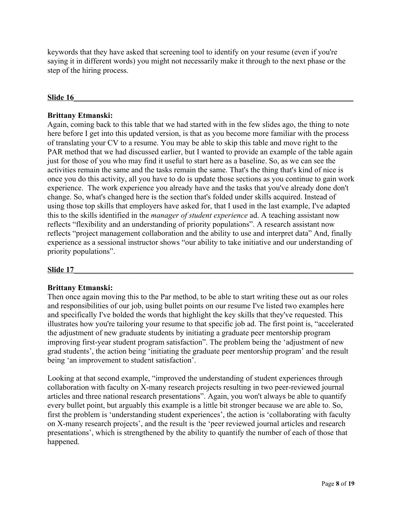keywords that they have asked that screening tool to identify on your resume (even if you're saying it in different words) you might not necessarily make it through to the next phase or the step of the hiring process.

## **Slide 16**\_\_\_\_\_\_\_\_\_\_\_\_\_\_\_\_\_\_\_\_\_\_\_\_\_\_\_\_\_\_\_\_\_\_\_\_\_\_\_\_\_\_\_\_\_\_\_\_\_\_\_\_\_\_\_\_\_\_\_\_\_\_\_\_\_\_\_\_\_\_\_

# **Brittany Etmanski:**

Again, coming back to this table that we had started with in the few slides ago, the thing to note here before I get into this updated version, is that as you become more familiar with the process of translating your CV to a resume. You may be able to skip this table and move right to the PAR method that we had discussed earlier, but I wanted to provide an example of the table again just for those of you who may find it useful to start here as a baseline. So, as we can see the activities remain the same and the tasks remain the same. That's the thing that's kind of nice is once you do this activity, all you have to do is update those sections as you continue to gain work experience. The work experience you already have and the tasks that you've already done don't change. So, what's changed here is the section that's folded under skills acquired. Instead of using those top skills that employers have asked for, that I used in the last example, I've adapted this to the skills identified in the *manager of student experience* ad. A teaching assistant now reflects "flexibility and an understanding of priority populations". A research assistant now reflects "project management collaboration and the ability to use and interpret data" And, finally experience as a sessional instructor shows "our ability to take initiative and our understanding of priority populations".

## **Slide 17**\_\_\_\_\_\_\_\_\_\_\_\_\_\_\_\_\_\_\_\_\_\_\_\_\_\_\_\_\_\_\_\_\_\_\_\_\_\_\_\_\_\_\_\_\_\_\_\_\_\_\_\_\_\_\_\_\_\_\_\_\_\_\_\_\_\_\_\_\_\_\_

## **Brittany Etmanski:**

Then once again moving this to the Par method, to be able to start writing these out as our roles and responsibilities of our job, using bullet points on our resume I've listed two examples here and specifically I've bolded the words that highlight the key skills that they've requested. This illustrates how you're tailoring your resume to that specific job ad. The first point is, "accelerated the adjustment of new graduate students by initiating a graduate peer mentorship program improving first-year student program satisfaction". The problem being the 'adjustment of new grad students', the action being 'initiating the graduate peer mentorship program' and the result being 'an improvement to student satisfaction'.

Looking at that second example, "improved the understanding of student experiences through collaboration with faculty on X-many research projects resulting in two peer-reviewed journal articles and three national research presentations". Again, you won't always be able to quantify every bullet point, but arguably this example is a little bit stronger because we are able to. So, first the problem is 'understanding student experiences', the action is 'collaborating with faculty on X-many research projects', and the result is the 'peer reviewed journal articles and research presentations', which is strengthened by the ability to quantify the number of each of those that happened.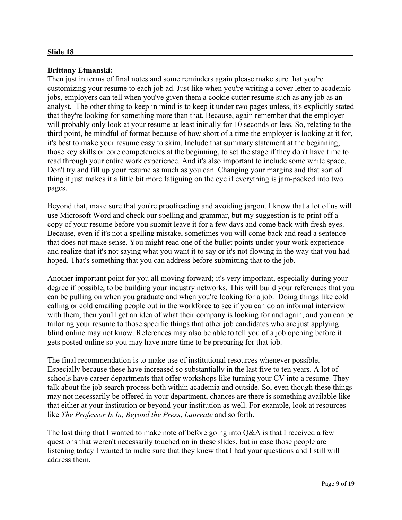## **Brittany Etmanski:**

Then just in terms of final notes and some reminders again please make sure that you're customizing your resume to each job ad. Just like when you're writing a cover letter to academic jobs, employers can tell when you've given them a cookie cutter resume such as any job as an analyst. The other thing to keep in mind is to keep it under two pages unless, it's explicitly stated that they're looking for something more than that. Because, again remember that the employer will probably only look at your resume at least initially for 10 seconds or less. So, relating to the third point, be mindful of format because of how short of a time the employer is looking at it for, it's best to make your resume easy to skim. Include that summary statement at the beginning, those key skills or core competencies at the beginning, to set the stage if they don't have time to read through your entire work experience. And it's also important to include some white space. Don't try and fill up your resume as much as you can. Changing your margins and that sort of thing it just makes it a little bit more fatiguing on the eye if everything is jam-packed into two pages.

Beyond that, make sure that you're proofreading and avoiding jargon. I know that a lot of us will use Microsoft Word and check our spelling and grammar, but my suggestion is to print off a copy of your resume before you submit leave it for a few days and come back with fresh eyes. Because, even if it's not a spelling mistake, sometimes you will come back and read a sentence that does not make sense. You might read one of the bullet points under your work experience and realize that it's not saying what you want it to say or it's not flowing in the way that you had hoped. That's something that you can address before submitting that to the job.

Another important point for you all moving forward; it's very important, especially during your degree if possible, to be building your industry networks. This will build your references that you can be pulling on when you graduate and when you're looking for a job. Doing things like cold calling or cold emailing people out in the workforce to see if you can do an informal interview with them, then you'll get an idea of what their company is looking for and again, and you can be tailoring your resume to those specific things that other job candidates who are just applying blind online may not know. References may also be able to tell you of a job opening before it gets posted online so you may have more time to be preparing for that job.

The final recommendation is to make use of institutional resources whenever possible. Especially because these have increased so substantially in the last five to ten years. A lot of schools have career departments that offer workshops like turning your CV into a resume. They talk about the job search process both within academia and outside. So, even though these things may not necessarily be offered in your department, chances are there is something available like that either at your institution or beyond your institution as well. For example, look at resources like *The Professor Is In, Beyond the Press*, *Laureate* and so forth.

The last thing that I wanted to make note of before going into Q&A is that I received a few questions that weren't necessarily touched on in these slides, but in case those people are listening today I wanted to make sure that they knew that I had your questions and I still will address them.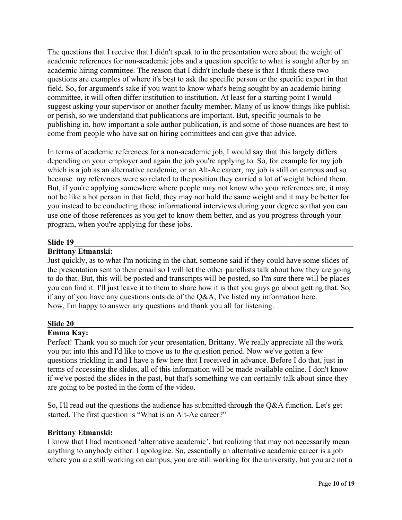The questions that I receive that I didn't speak to in the presentation were about the weight of academic references for non-academic jobs and a question specific to what is sought after by an academic hiring committee. The reason that I didn't include these is that I think these two questions are examples of where it's best to ask the specific person or the specific expert in that field. So, for argument's sake if you want to know what's being sought by an academic hiring committee, it will often differ institution to institution. At least for a starting point I would suggest asking your supervisor or another faculty member. Many of us know things like publish or perish, so we understand that publications are important. But, specific journals to be publishing in, how important a sole author publication, is and some of those nuances are best to come from people who have sat on hiring committees and can give that advice.

In terms of academic references for a non-academic job, I would say that this largely differs depending on your employer and again the job you're applying to. So, for example for my job which is a job as an alternative academic, or an Alt-Ac career, my job is still on campus and so because my references were so related to the position they carried a lot of weight behind them. But, if you're applying somewhere where people may not know who your references are, it may not be like a hot person in that field, they may not hold the same weight and it may be better for you instead to be conducting those informational interviews during your degree so that you can use one of those references as you get to know them better, and as you progress through your program, when you're applying for these jobs.

## **Slide 19**\_\_\_\_\_\_\_\_\_\_\_\_\_\_\_\_\_\_\_\_\_\_\_\_\_\_\_\_\_\_\_\_\_\_\_\_\_\_\_\_\_\_\_\_\_\_\_\_\_\_\_\_\_\_\_\_\_\_\_\_\_\_\_\_\_\_\_\_\_\_\_

### **Brittany Etmanski:**

Just quickly, as to what I'm noticing in the chat, someone said if they could have some slides of the presentation sent to their email so I will let the other panellists talk about how they are going to do that. But, this will be posted and transcripts will be posted, so I'm sure there will be places you can find it. I'll just leave it to them to share how it is that you guys go about getting that. So, if any of you have any questions outside of the Q&A, I've listed my information here. Now, I'm happy to answer any questions and thank you all for listening.

## **Slide 20**\_\_\_\_\_\_\_\_\_\_\_\_\_\_\_\_\_\_\_\_\_\_\_\_\_\_\_\_\_\_\_\_\_\_\_\_\_\_\_\_\_\_\_\_\_\_\_\_\_\_\_\_\_\_\_\_\_\_\_\_\_\_\_\_\_\_\_\_\_\_\_

## **Emma Kay:**

Perfect! Thank you so much for your presentation, Brittany. We really appreciate all the work you put into this and I'd like to move us to the question period. Now we've gotten a few questions trickling in and I have a few here that I received in advance. Before I do that, just in terms of accessing the slides, all of this information will be made available online. I don't know if we've posted the slides in the past, but that's something we can certainly talk about since they are going to be posted in the form of the video.

So, I'll read out the questions the audience has submitted through the Q&A function. Let's get started. The first question is "What is an Alt-Ac career?"

#### **Brittany Etmanski:**

I know that I had mentioned 'alternative academic', but realizing that may not necessarily mean anything to anybody either. I apologize. So, essentially an alternative academic career is a job where you are still working on campus, you are still working for the university, but you are not a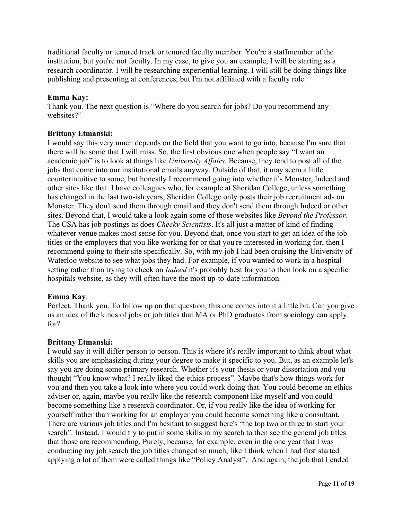traditional faculty or tenured track or tenured faculty member. You're a staffmember of the institution, but you're not faculty. In my case, to give you an example, I will be starting as a research coordinator. I will be researching experiential learning. I will still be doing things like publishing and presenting at conferences, but I'm not affiliated with a faculty role.

## **Emma Kay:**

Thank you. The next question is "Where do you search for jobs? Do you recommend any websites?"

## **Brittany Etmanski:**

I would say this very much depends on the field that you want to go into, because I'm sure that there will be some that I will miss. So, the first obvious one when people say "I want an academic job" is to look at things like *University Affairs.* Because, they tend to post all of the jobs that come into our institutional emails anyway. Outside of that, it may seem a little counterintuitive to some, but honestly I recommend going into whether it's Monster, Indeed and other sites like that. I have colleagues who, for example at Sheridan College, unless something has changed in the last two-ish years, Sheridan College only posts their job recruitment ads on Monster. They don't send them through email and they don't send them through Indeed or other sites. Beyond that, I would take a look again some of those websites like *Beyond the Professor*. The CSA has job postings as does *Cheeky Scientists*. It's all just a matter of kind of finding whatever venue makes most sense for you. Beyond that, once you start to get an idea of the job titles or the employers that you like working for or that you're interested in working for, then I recommend going to their site specifically. So, with my job I had been cruising the University of Waterloo website to see what jobs they had. For example, if you wanted to work in a hospital setting rather than trying to check on *Indeed* it's probably best for you to then look on a specific hospitals website, as they will often have the most up-to-date information.

# **Emma Kay**:

Perfect. Thank you. To follow up on that question, this one comes into it a little bit. Can you give us an idea of the kinds of jobs or job titles that MA or PhD graduates from sociology can apply for?

## **Brittany Etmanski:**

I would say it will differ person to person. This is where it's really important to think about what skills you are emphasizing during your degree to make it specific to you. But, as an example let's say you are doing some primary research. Whether it's your thesis or your dissertation and you thought "You know what? I really liked the ethics process". Maybe that's how things work for you and then you take a look into where you could work doing that. You could become an ethics adviser or, again, maybe you really like the research component like myself and you could become something like a research coordinator. Or, if you really like the idea of working for yourself rather than working for an employer you could become something like a consultant. There are various job titles and I'm hesitant to suggest here's "the top two or three to start your search". Instead, I would try to put in some skills in my search to then see the general job titles that those are recommending. Purely, because, for example, even in the one year that I was conducting my job search the job titles changed so much, like I think when I had first started applying a lot of them were called things like "Policy Analyst". And again, the job that I ended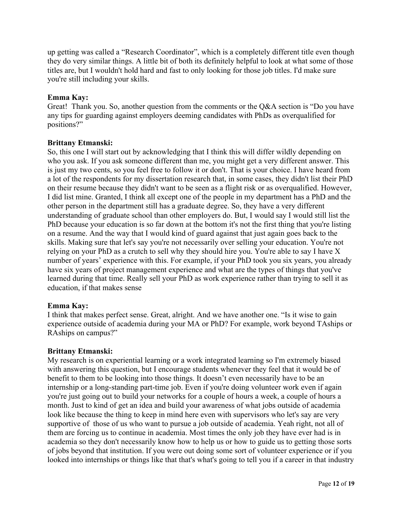up getting was called a "Research Coordinator", which is a completely different title even though they do very similar things. A little bit of both its definitely helpful to look at what some of those titles are, but I wouldn't hold hard and fast to only looking for those job titles. I'd make sure you're still including your skills.

# **Emma Kay:**

Great! Thank you. So, another question from the comments or the Q&A section is "Do you have any tips for guarding against employers deeming candidates with PhDs as overqualified for positions?"

# **Brittany Etmanski:**

So, this one I will start out by acknowledging that I think this will differ wildly depending on who you ask. If you ask someone different than me, you might get a very different answer. This is just my two cents, so you feel free to follow it or don't. That is your choice. I have heard from a lot of the respondents for my dissertation research that, in some cases, they didn't list their PhD on their resume because they didn't want to be seen as a flight risk or as overqualified. However, I did list mine. Granted, I think all except one of the people in my department has a PhD and the other person in the department still has a graduate degree. So, they have a very different understanding of graduate school than other employers do. But, I would say I would still list the PhD because your education is so far down at the bottom it's not the first thing that you're listing on a resume. And the way that I would kind of guard against that just again goes back to the skills. Making sure that let's say you're not necessarily over selling your education. You're not relying on your PhD as a crutch to sell why they should hire you. You're able to say I have X number of years' experience with this. For example, if your PhD took you six years, you already have six years of project management experience and what are the types of things that you've learned during that time. Really sell your PhD as work experience rather than trying to sell it as education, if that makes sense

# **Emma Kay:**

I think that makes perfect sense. Great, alright. And we have another one. "Is it wise to gain experience outside of academia during your MA or PhD? For example, work beyond TAships or RAships on campus?"

# **Brittany Etmanski:**

My research is on experiential learning or a work integrated learning so I'm extremely biased with answering this question, but I encourage students whenever they feel that it would be of benefit to them to be looking into those things. It doesn't even necessarily have to be an internship or a long-standing part-time job. Even if you're doing volunteer work even if again you're just going out to build your networks for a couple of hours a week, a couple of hours a month. Just to kind of get an idea and build your awareness of what jobs outside of academia look like because the thing to keep in mind here even with supervisors who let's say are very supportive of those of us who want to pursue a job outside of academia. Yeah right, not all of them are forcing us to continue in academia. Most times the only job they have ever had is in academia so they don't necessarily know how to help us or how to guide us to getting those sorts of jobs beyond that institution. If you were out doing some sort of volunteer experience or if you looked into internships or things like that that's what's going to tell you if a career in that industry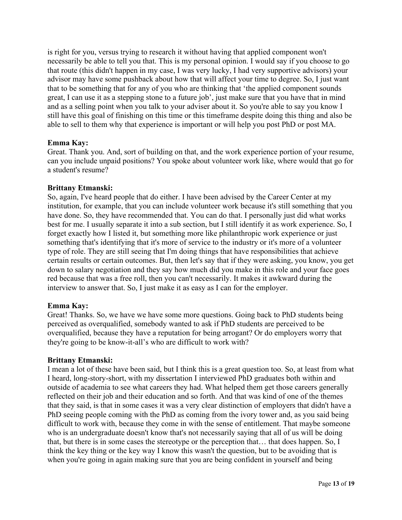is right for you, versus trying to research it without having that applied component won't necessarily be able to tell you that. This is my personal opinion. I would say if you choose to go that route (this didn't happen in my case, I was very lucky, I had very supportive advisors) your advisor may have some pushback about how that will affect your time to degree. So, I just want that to be something that for any of you who are thinking that 'the applied component sounds great, I can use it as a stepping stone to a future job', just make sure that you have that in mind and as a selling point when you talk to your adviser about it. So you're able to say you know I still have this goal of finishing on this time or this timeframe despite doing this thing and also be able to sell to them why that experience is important or will help you post PhD or post MA.

## **Emma Kay:**

Great. Thank you. And, sort of building on that, and the work experience portion of your resume, can you include unpaid positions? You spoke about volunteer work like, where would that go for a student's resume?

## **Brittany Etmanski:**

So, again, I've heard people that do either. I have been advised by the Career Center at my institution, for example, that you can include volunteer work because it's still something that you have done. So, they have recommended that. You can do that. I personally just did what works best for me. I usually separate it into a sub section, but I still identify it as work experience. So, I forget exactly how I listed it, but something more like philanthropic work experience or just something that's identifying that it's more of service to the industry or it's more of a volunteer type of role. They are still seeing that I'm doing things that have responsibilities that achieve certain results or certain outcomes. But, then let's say that if they were asking, you know, you get down to salary negotiation and they say how much did you make in this role and your face goes red because that was a free roll, then you can't necessarily. It makes it awkward during the interview to answer that. So, I just make it as easy as I can for the employer.

## **Emma Kay:**

Great! Thanks. So, we have we have some more questions. Going back to PhD students being perceived as overqualified, somebody wanted to ask if PhD students are perceived to be overqualified, because they have a reputation for being arrogant? Or do employers worry that they're going to be know-it-all's who are difficult to work with?

## **Brittany Etmanski:**

I mean a lot of these have been said, but I think this is a great question too. So, at least from what I heard, long-story-short, with my dissertation I interviewed PhD graduates both within and outside of academia to see what careers they had. What helped them get those careers generally reflected on their job and their education and so forth. And that was kind of one of the themes that they said, is that in some cases it was a very clear distinction of employers that didn't have a PhD seeing people coming with the PhD as coming from the ivory tower and, as you said being difficult to work with, because they come in with the sense of entitlement. That maybe someone who is an undergraduate doesn't know that's not necessarily saying that all of us will be doing that, but there is in some cases the stereotype or the perception that… that does happen. So, I think the key thing or the key way I know this wasn't the question, but to be avoiding that is when you're going in again making sure that you are being confident in yourself and being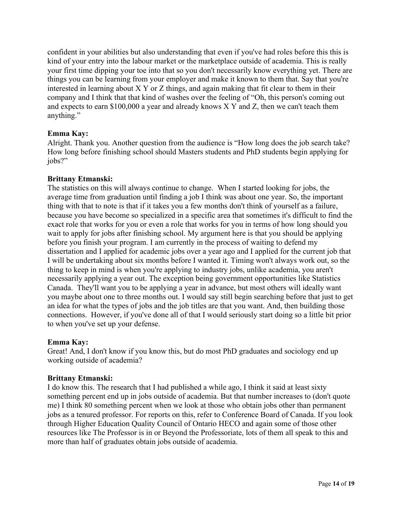confident in your abilities but also understanding that even if you've had roles before this this is kind of your entry into the labour market or the marketplace outside of academia. This is really your first time dipping your toe into that so you don't necessarily know everything yet. There are things you can be learning from your employer and make it known to them that. Say that you're interested in learning about  $X Y$  or  $Z$  things, and again making that fit clear to them in their company and I think that that kind of washes over the feeling of "Oh, this person's coming out and expects to earn \$100,000 a year and already knows X Y and Z, then we can't teach them anything."

## **Emma Kay:**

Alright. Thank you. Another question from the audience is "How long does the job search take? How long before finishing school should Masters students and PhD students begin applying for jobs?"

## **Brittany Etmanski:**

The statistics on this will always continue to change. When I started looking for jobs, the average time from graduation until finding a job I think was about one year. So, the important thing with that to note is that if it takes you a few months don't think of yourself as a failure, because you have become so specialized in a specific area that sometimes it's difficult to find the exact role that works for you or even a role that works for you in terms of how long should you wait to apply for jobs after finishing school. My argument here is that you should be applying before you finish your program. I am currently in the process of waiting to defend my dissertation and I applied for academic jobs over a year ago and I applied for the current job that I will be undertaking about six months before I wanted it. Timing won't always work out, so the thing to keep in mind is when you're applying to industry jobs, unlike academia, you aren't necessarily applying a year out. The exception being government opportunities like Statistics Canada. They'll want you to be applying a year in advance, but most others will ideally want you maybe about one to three months out. I would say still begin searching before that just to get an idea for what the types of jobs and the job titles are that you want. And, then building those connections. However, if you've done all of that I would seriously start doing so a little bit prior to when you've set up your defense.

## **Emma Kay:**

Great! And, I don't know if you know this, but do most PhD graduates and sociology end up working outside of academia?

## **Brittany Etmanski:**

I do know this. The research that I had published a while ago, I think it said at least sixty something percent end up in jobs outside of academia. But that number increases to (don't quote me) I think 80 something percent when we look at those who obtain jobs other than permanent jobs as a tenured professor. For reports on this, refer to Conference Board of Canada. If you look through Higher Education Quality Council of Ontario HECO and again some of those other resources like The Professor is in or Beyond the Professoriate, lots of them all speak to this and more than half of graduates obtain jobs outside of academia.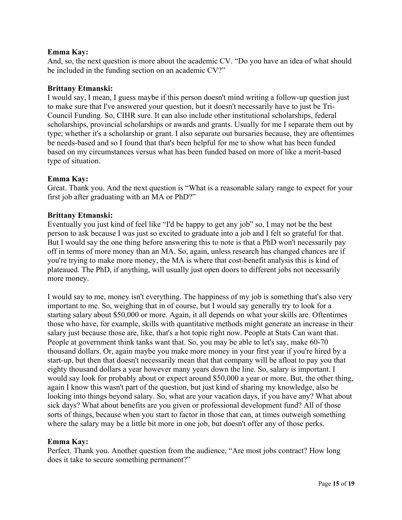## **Emma Kay:**

And, so, the next question is more about the academic CV. "Do you have an idea of what should be included in the funding section on an academic CV?"

## **Brittany Etmanski:**

I would say, I mean, I guess maybe if this person doesn't mind writing a follow-up question just to make sure that I've answered your question, but it doesn't necessarily have to just be Tri-Council Funding. So, CIHR sure. It can also include other institutional scholarships, federal scholarships, provincial scholarships or awards and grants. Usually for me I separate them out by type; whether it's a scholarship or grant. I also separate out bursaries because, they are oftentimes be needs-based and so I found that that's been helpful for me to show what has been funded based on my circumstances versus what has been funded based on more of like a merit-based type of situation.

## **Emma Kay:**

Great. Thank you. And the next question is "What is a reasonable salary range to expect for your first job after graduating with an MA or PhD?"

## **Brittany Etmanski:**

Eventually you just kind of feel like "I'd be happy to get any job" so, I may not be the best person to ask because I was just so excited to graduate into a job and I felt so grateful for that. But I would say the one thing before answering this to note is that a PhD won't necessarily pay off in terms of more money than an MA. So, again, unless research has changed chances are if you're trying to make more money, the MA is where that cost-benefit analysis this is kind of plateaued. The PhD, if anything, will usually just open doors to different jobs not necessarily more money.

I would say to me, money isn't everything. The happiness of my job is something that's also very important to me. So, weighing that in of course, but I would say generally try to look for a starting salary about \$50,000 or more. Again, it all depends on what your skills are. Oftentimes those who have, for example, skills with quantitative methods might generate an increase in their salary just because those are, like, that's a hot topic right now. People at Stats Can want that. People at government think tanks want that. So, you may be able to let's say, make 60-70 thousand dollars. Or, again maybe you make more money in your first year if you're hired by a start-up, but then that doesn't necessarily mean that that company will be afloat to pay you that eighty thousand dollars a year however many years down the line. So, salary is important. I would say look for probably about or expect around \$50,000 a year or more. But, the other thing, again I know this wasn't part of the question, but just kind of sharing my knowledge, also be looking into things beyond salary. So, what are your vacation days, if you have any? What about sick days? What about benefits are you given or professional development fund? All of those sorts of things, because when you start to factor in those that can, at times outweigh something where the salary may be a little bit more in one job, but doesn't offer any of those perks.

## **Emma Kay:**

Perfect. Thank you. Another question from the audience, "Are most jobs contract? How long does it take to secure something permanent?"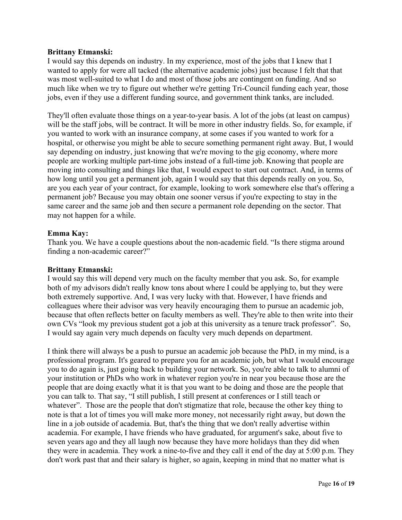## **Brittany Etmanski:**

I would say this depends on industry. In my experience, most of the jobs that I knew that I wanted to apply for were all tacked (the alternative academic jobs) just because I felt that that was most well-suited to what I do and most of those jobs are contingent on funding. And so much like when we try to figure out whether we're getting Tri-Council funding each year, those jobs, even if they use a different funding source, and government think tanks, are included.

They'll often evaluate those things on a year-to-year basis. A lot of the jobs (at least on campus) will be the staff jobs, will be contract. It will be more in other industry fields. So, for example, if you wanted to work with an insurance company, at some cases if you wanted to work for a hospital, or otherwise you might be able to secure something permanent right away. But, I would say depending on industry, just knowing that we're moving to the gig economy, where more people are working multiple part-time jobs instead of a full-time job. Knowing that people are moving into consulting and things like that, I would expect to start out contract. And, in terms of how long until you get a permanent job, again I would say that this depends really on you. So, are you each year of your contract, for example, looking to work somewhere else that's offering a permanent job? Because you may obtain one sooner versus if you're expecting to stay in the same career and the same job and then secure a permanent role depending on the sector. That may not happen for a while.

## **Emma Kay:**

Thank you. We have a couple questions about the non-academic field. "Is there stigma around finding a non-academic career?"

## **Brittany Etmanski:**

I would say this will depend very much on the faculty member that you ask. So, for example both of my advisors didn't really know tons about where I could be applying to, but they were both extremely supportive. And, I was very lucky with that. However, I have friends and colleagues where their advisor was very heavily encouraging them to pursue an academic job, because that often reflects better on faculty members as well. They're able to then write into their own CVs "look my previous student got a job at this university as a tenure track professor". So, I would say again very much depends on faculty very much depends on department.

I think there will always be a push to pursue an academic job because the PhD, in my mind, is a professional program. It's geared to prepare you for an academic job, but what I would encourage you to do again is, just going back to building your network. So, you're able to talk to alumni of your institution or PhDs who work in whatever region you're in near you because those are the people that are doing exactly what it is that you want to be doing and those are the people that you can talk to. That say, "I still publish, I still present at conferences or I still teach or whatever". Those are the people that don't stigmatize that role, because the other key thing to note is that a lot of times you will make more money, not necessarily right away, but down the line in a job outside of academia. But, that's the thing that we don't really advertise within academia. For example, I have friends who have graduated, for argument's sake, about five to seven years ago and they all laugh now because they have more holidays than they did when they were in academia. They work a nine-to-five and they call it end of the day at 5:00 p.m. They don't work past that and their salary is higher, so again, keeping in mind that no matter what is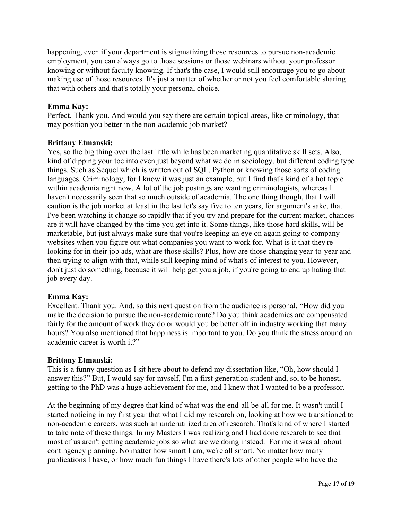happening, even if your department is stigmatizing those resources to pursue non-academic employment, you can always go to those sessions or those webinars without your professor knowing or without faculty knowing. If that's the case, I would still encourage you to go about making use of those resources. It's just a matter of whether or not you feel comfortable sharing that with others and that's totally your personal choice.

### **Emma Kay:**

Perfect. Thank you. And would you say there are certain topical areas, like criminology, that may position you better in the non-academic job market?

#### **Brittany Etmanski:**

Yes, so the big thing over the last little while has been marketing quantitative skill sets. Also, kind of dipping your toe into even just beyond what we do in sociology, but different coding type things. Such as Sequel which is written out of SQL, Python or knowing those sorts of coding languages. Criminology, for I know it was just an example, but I find that's kind of a hot topic within academia right now. A lot of the job postings are wanting criminologists, whereas I haven't necessarily seen that so much outside of academia. The one thing though, that I will caution is the job market at least in the last let's say five to ten years, for argument's sake, that I've been watching it change so rapidly that if you try and prepare for the current market, chances are it will have changed by the time you get into it. Some things, like those hard skills, will be marketable, but just always make sure that you're keeping an eye on again going to company websites when you figure out what companies you want to work for. What is it that they're looking for in their job ads, what are those skills? Plus, how are those changing year-to-year and then trying to align with that, while still keeping mind of what's of interest to you. However, don't just do something, because it will help get you a job, if you're going to end up hating that job every day.

## **Emma Kay:**

Excellent. Thank you. And, so this next question from the audience is personal. "How did you make the decision to pursue the non-academic route? Do you think academics are compensated fairly for the amount of work they do or would you be better off in industry working that many hours? You also mentioned that happiness is important to you. Do you think the stress around an academic career is worth it?"

#### **Brittany Etmanski:**

This is a funny question as I sit here about to defend my dissertation like, "Oh, how should I answer this?" But, I would say for myself, I'm a first generation student and, so, to be honest, getting to the PhD was a huge achievement for me, and I knew that I wanted to be a professor.

At the beginning of my degree that kind of what was the end-all be-all for me. It wasn't until I started noticing in my first year that what I did my research on, looking at how we transitioned to non-academic careers, was such an underutilized area of research. That's kind of where I started to take note of these things. In my Masters I was realizing and I had done research to see that most of us aren't getting academic jobs so what are we doing instead. For me it was all about contingency planning. No matter how smart I am, we're all smart. No matter how many publications I have, or how much fun things I have there's lots of other people who have the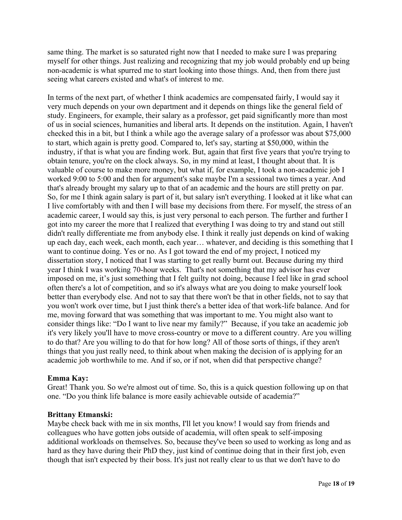same thing. The market is so saturated right now that I needed to make sure I was preparing myself for other things. Just realizing and recognizing that my job would probably end up being non-academic is what spurred me to start looking into those things. And, then from there just seeing what careers existed and what's of interest to me.

In terms of the next part, of whether I think academics are compensated fairly, I would say it very much depends on your own department and it depends on things like the general field of study. Engineers, for example, their salary as a professor, get paid significantly more than most of us in social sciences, humanities and liberal arts. It depends on the institution. Again, I haven't checked this in a bit, but I think a while ago the average salary of a professor was about \$75,000 to start, which again is pretty good. Compared to, let's say, starting at \$50,000, within the industry, if that is what you are finding work. But, again that first five years that you're trying to obtain tenure, you're on the clock always. So, in my mind at least, I thought about that. It is valuable of course to make more money, but what if, for example, I took a non-academic job I worked 9:00 to 5:00 and then for argument's sake maybe I'm a sessional two times a year. And that's already brought my salary up to that of an academic and the hours are still pretty on par. So, for me I think again salary is part of it, but salary isn't everything. I looked at it like what can I live comfortably with and then I will base my decisions from there. For myself, the stress of an academic career, I would say this, is just very personal to each person. The further and further I got into my career the more that I realized that everything I was doing to try and stand out still didn't really differentiate me from anybody else. I think it really just depends on kind of waking up each day, each week, each month, each year… whatever, and deciding is this something that I want to continue doing. Yes or no. As I got toward the end of my project, I noticed my dissertation story, I noticed that I was starting to get really burnt out. Because during my third year I think I was working 70-hour weeks. That's not something that my advisor has ever imposed on me, it's just something that I felt guilty not doing, because I feel like in grad school often there's a lot of competition, and so it's always what are you doing to make yourself look better than everybody else. And not to say that there won't be that in other fields, not to say that you won't work over time, but I just think there's a better idea of that work-life balance. And for me, moving forward that was something that was important to me. You might also want to consider things like: "Do I want to live near my family?" Because, if you take an academic job it's very likely you'll have to move cross-country or move to a different country. Are you willing to do that? Are you willing to do that for how long? All of those sorts of things, if they aren't things that you just really need, to think about when making the decision of is applying for an academic job worthwhile to me. And if so, or if not, when did that perspective change?

#### **Emma Kay:**

Great! Thank you. So we're almost out of time. So, this is a quick question following up on that one. "Do you think life balance is more easily achievable outside of academia?"

#### **Brittany Etmanski:**

Maybe check back with me in six months, I'll let you know! I would say from friends and colleagues who have gotten jobs outside of academia, will often speak to self-imposing additional workloads on themselves. So, because they've been so used to working as long and as hard as they have during their PhD they, just kind of continue doing that in their first job, even though that isn't expected by their boss. It's just not really clear to us that we don't have to do